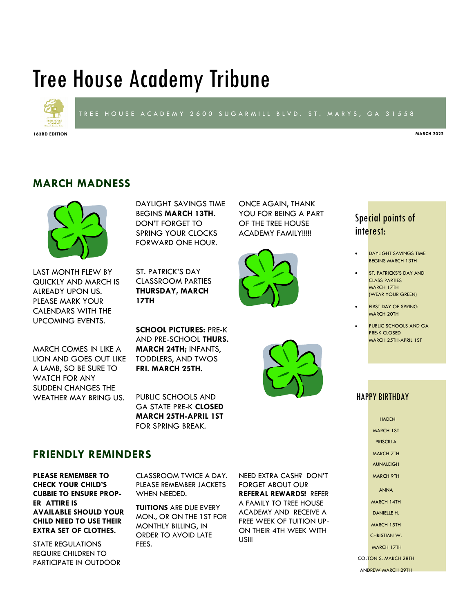# Tree House Academy Tribune



### TREE HOUSE ACADEMY 2600 SUGARMILL BLVD. ST. MARYS, GA 31558

**163RD EDITION MARCH 2022**

# **MARCH MADNESS**



LAST MONTH FLEW BY QUICKLY AND MARCH IS ALREADY UPON US. PLEASE MARK YOUR CALENDARS WITH THE UPCOMING EVENTS.

DAYLIGHT SAVINGS TIME BEGINS **MARCH 13TH.**  DON'T FORGET TO SPRING YOUR CLOCKS FORWARD ONE HOUR.

ST. PATRICK'S DAY CLASSROOM PARTIES **THURSDAY, MARCH 17TH**

YOU FOR BEING A PART OF THE TREE HOUSE ACADEMY FAMILY!!!!!

ONCE AGAIN, THANK



# Special points of interest:

- **DAYLIGHT SAVINGS TIME** BEGINS MARCH 13TH
- ST. PATRICKS'S DAY AND CLASS PARTIES MARCH 17TH (WEAR YOUR GREEN)
- **FIRST DAY OF SPRING** MARCH 20TH
- PUBLIC SCHOOLS AND GA PRE-K CLOSED MARCH 25TH-APRIL 1ST

HAPPY BIRTHDAY

**HADEN** MARCH 1ST PRISCILLA MARCH 7TH AUNALEIGH MARCH 9TH ANNA MARCH 14TH DANIFLLE H. MARCH 15TH CHRISTIAN W. MARCH 17TH COLTON S. MARCH 28TH

ANDREW MARCH 29TH

MARCH COMES IN LIKE A LION AND GOES OUT LIKE A LAMB, SO BE SURE TO WATCH FOR ANY SUDDEN CHANGES THE WEATHER MAY BRING US.

**SCHOOL PICTURES:** PRE-K AND PRE-SCHOOL **THURS. MARCH 24TH;** INFANTS, TODDLERS, AND TWOS **FRI. MARCH 25TH.**

PUBLIC SCHOOLS AND GA STATE PRE-K **CLOSED MARCH 25TH-APRIL 1ST**  FOR SPRING BREAK.

## **FRIENDLY REMINDERS**

**PLEASE REMEMBER TO CHECK YOUR CHILD'S CUBBIE TO ENSURE PROP-ER ATTIRE IS AVAILABLE SHOULD YOUR CHILD NEED TO USE THEIR EXTRA SET OF CLOTHES.** 

STATE REGULATIONS REQUIRE CHILDREN TO PARTICIPATE IN OUTDOOR CLASSROOM TWICE A DAY. PLEASE REMEMBER JACKETS WHEN NEEDED.

**TUITIONS** ARE DUE EVERY MON., OR ON THE 1ST FOR MONTHLY BILLING, IN ORDER TO AVOID LATE FEES.

NEED EXTRA CASH? DON'T FORGET ABOUT OUR **REFERAL REWARDS!** REFER A FAMILY TO TREE HOUSE ACADEMY AND RECEIVE A FREE WEEK OF TUITION UP-ON THEIR 4TH WEEK WITH US!!!